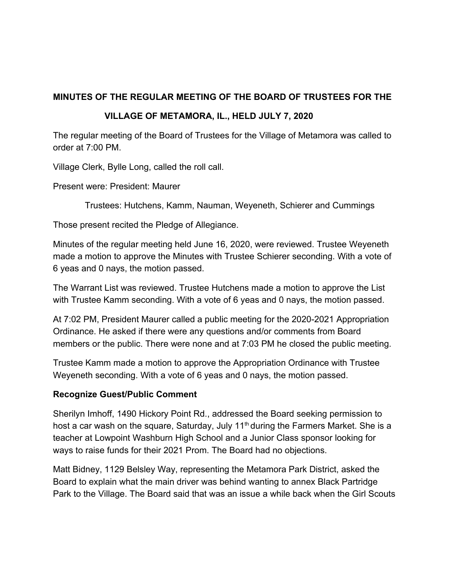# **MINUTES OF THE REGULAR MEETING OF THE BOARD OF TRUSTEES FOR THE**

## **VILLAGE OF METAMORA, IL., HELD JULY 7, 2020**

The regular meeting of the Board of Trustees for the Village of Metamora was called to order at 7:00 PM.

Village Clerk, Bylle Long, called the roll call.

Present were: President: Maurer

Trustees: Hutchens, Kamm, Nauman, Weyeneth, Schierer and Cummings

Those present recited the Pledge of Allegiance.

Minutes of the regular meeting held June 16, 2020, were reviewed. Trustee Weyeneth made a motion to approve the Minutes with Trustee Schierer seconding. With a vote of 6 yeas and 0 nays, the motion passed.

The Warrant List was reviewed. Trustee Hutchens made a motion to approve the List with Trustee Kamm seconding. With a vote of 6 yeas and 0 nays, the motion passed.

At 7:02 PM, President Maurer called a public meeting for the 2020-2021 Appropriation Ordinance. He asked if there were any questions and/or comments from Board members or the public. There were none and at 7:03 PM he closed the public meeting.

Trustee Kamm made a motion to approve the Appropriation Ordinance with Trustee Weyeneth seconding. With a vote of 6 yeas and 0 nays, the motion passed.

### **Recognize Guest/Public Comment**

Sherilyn Imhoff, 1490 Hickory Point Rd., addressed the Board seeking permission to host a car wash on the square, Saturday, July  $11<sup>th</sup>$  during the Farmers Market. She is a teacher at Lowpoint Washburn High School and a Junior Class sponsor looking for ways to raise funds for their 2021 Prom. The Board had no objections.

Matt Bidney, 1129 Belsley Way, representing the Metamora Park District, asked the Board to explain what the main driver was behind wanting to annex Black Partridge Park to the Village. The Board said that was an issue a while back when the Girl Scouts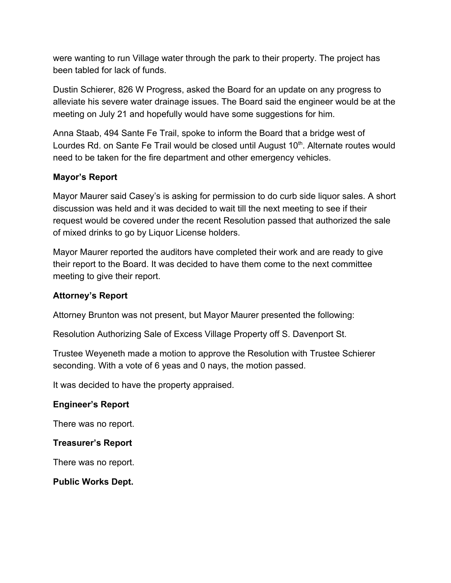were wanting to run Village water through the park to their property. The project has been tabled for lack of funds.

Dustin Schierer, 826 W Progress, asked the Board for an update on any progress to alleviate his severe water drainage issues. The Board said the engineer would be at the meeting on July 21 and hopefully would have some suggestions for him.

Anna Staab, 494 Sante Fe Trail, spoke to inform the Board that a bridge west of Lourdes Rd. on Sante Fe Trail would be closed until August 10<sup>th</sup>. Alternate routes would need to be taken for the fire department and other emergency vehicles.

#### **Mayor's Report**

Mayor Maurer said Casey's is asking for permission to do curb side liquor sales. A short discussion was held and it was decided to wait till the next meeting to see if their request would be covered under the recent Resolution passed that authorized the sale of mixed drinks to go by Liquor License holders.

Mayor Maurer reported the auditors have completed their work and are ready to give their report to the Board. It was decided to have them come to the next committee meeting to give their report.

#### **Attorney's Report**

Attorney Brunton was not present, but Mayor Maurer presented the following:

Resolution Authorizing Sale of Excess Village Property off S. Davenport St.

Trustee Weyeneth made a motion to approve the Resolution with Trustee Schierer seconding. With a vote of 6 yeas and 0 nays, the motion passed.

It was decided to have the property appraised.

#### **Engineer's Report**

There was no report.

#### **Treasurer's Report**

There was no report.

**Public Works Dept.**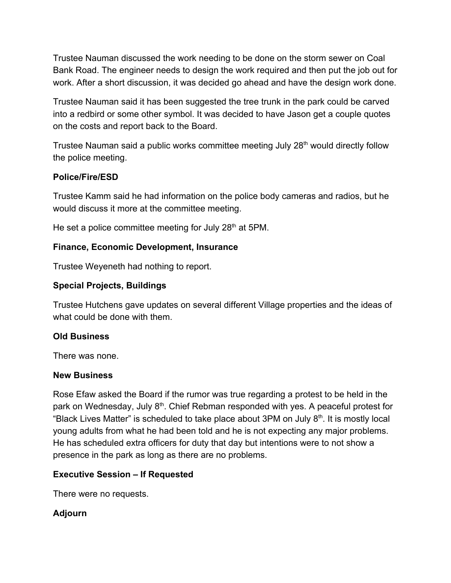Trustee Nauman discussed the work needing to be done on the storm sewer on Coal Bank Road. The engineer needs to design the work required and then put the job out for work. After a short discussion, it was decided go ahead and have the design work done.

Trustee Nauman said it has been suggested the tree trunk in the park could be carved into a redbird or some other symbol. It was decided to have Jason get a couple quotes on the costs and report back to the Board.

Trustee Nauman said a public works committee meeting July 28<sup>th</sup> would directly follow the police meeting.

## **Police/Fire/ESD**

Trustee Kamm said he had information on the police body cameras and radios, but he would discuss it more at the committee meeting.

He set a police committee meeting for July 28<sup>th</sup> at 5PM.

## **Finance, Economic Development, Insurance**

Trustee Weyeneth had nothing to report.

## **Special Projects, Buildings**

Trustee Hutchens gave updates on several different Village properties and the ideas of what could be done with them.

# **Old Business**

There was none.

### **New Business**

Rose Efaw asked the Board if the rumor was true regarding a protest to be held in the park on Wednesday, July 8<sup>th</sup>. Chief Rebman responded with yes. A peaceful protest for "Black Lives Matter" is scheduled to take place about 3PM on July 8<sup>th</sup>. It is mostly local young adults from what he had been told and he is not expecting any major problems. He has scheduled extra officers for duty that day but intentions were to not show a presence in the park as long as there are no problems.

### **Executive Session – If Requested**

There were no requests.

# **Adjourn**